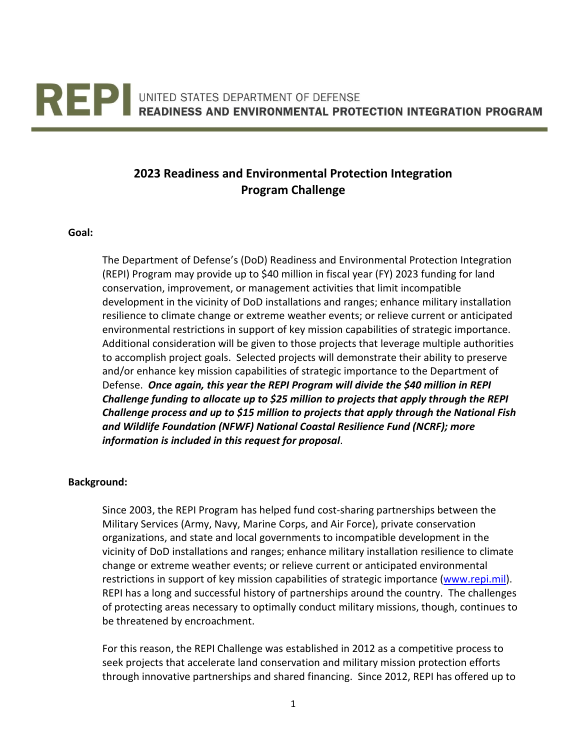# **REPIEMBER OF PROPERTY OF DEFENSE**<br>READINESS AND ENVIRONMENTAL PROTECTION INTEGRATION PROGRAM

# **2023 Readiness and Environmental Protection Integration Program Challenge**

#### **Goal:**

The Department of Defense's (DoD) Readiness and Environmental Protection Integration (REPI) Program may provide up to \$40 million in fiscal year (FY) 2023 funding for land conservation, improvement, or management activities that limit incompatible development in the vicinity of DoD installations and ranges; enhance military installation resilience to climate change or extreme weather events; or relieve current or anticipated environmental restrictions in support of key mission capabilities of strategic importance. Additional consideration will be given to those projects that leverage multiple authorities to accomplish project goals. Selected projects will demonstrate their ability to preserve and/or enhance key mission capabilities of strategic importance to the Department of Defense. *Once again, this year the REPI Program will divide the \$40 million in REPI Challenge funding to allocate up to \$25 million to projects that apply through the REPI Challenge process and up to \$15 million to projects that apply through the National Fish and Wildlife Foundation (NFWF) National Coastal Resilience Fund (NCRF); more information is included in this request for proposal*.

#### **Background:**

Since 2003, the REPI Program has helped fund cost-sharing partnerships between the Military Services (Army, Navy, Marine Corps, and Air Force), private conservation organizations, and state and local governments to incompatible development in the vicinity of DoD installations and ranges; enhance military installation resilience to climate change or extreme weather events; or relieve current or anticipated environmental restrictions in support of key mission capabilities of strategic importance [\(www.repi.mil\)](http://www.repi.mil/). REPI has a long and successful history of partnerships around the country. The challenges of protecting areas necessary to optimally conduct military missions, though, continues to be threatened by encroachment.

For this reason, the REPI Challenge was established in 2012 as a competitive process to seek projects that accelerate land conservation and military mission protection efforts through innovative partnerships and shared financing. Since 2012, REPI has offered up to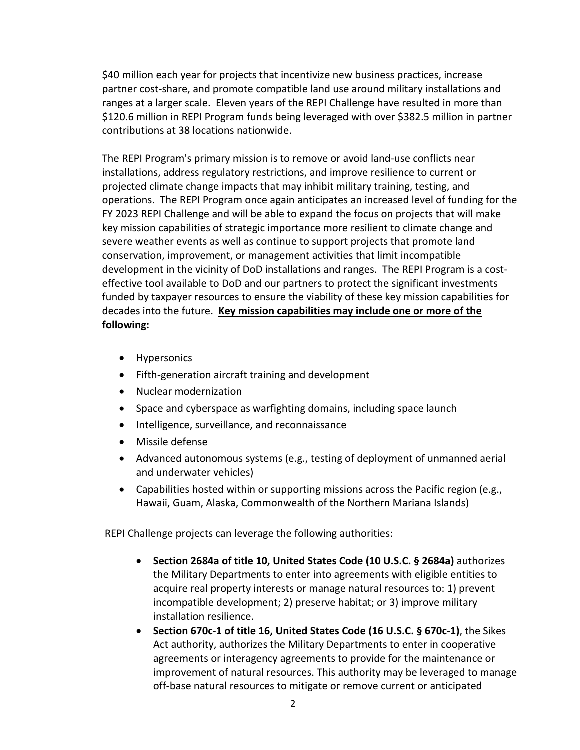\$40 million each year for projects that incentivize new business practices, increase partner cost-share, and promote compatible land use around military installations and ranges at a larger scale. Eleven years of the REPI Challenge have resulted in more than \$120.6 million in REPI Program funds being leveraged with over \$382.5 million in partner contributions at 38 locations nationwide.

The REPI Program's primary mission is to remove or avoid land-use conflicts near installations, address regulatory restrictions, and improve resilience to current or projected climate change impacts that may inhibit military training, testing, and operations. The REPI Program once again anticipates an increased level of funding for the FY 2023 REPI Challenge and will be able to expand the focus on projects that will make key mission capabilities of strategic importance more resilient to climate change and severe weather events as well as continue to support projects that promote land conservation, improvement, or management activities that limit incompatible development in the vicinity of DoD installations and ranges. The REPI Program is a costeffective tool available to DoD and our partners to protect the significant investments funded by taxpayer resources to ensure the viability of these key mission capabilities for decades into the future. **Key mission capabilities may include one or more of the following:** 

- Hypersonics
- Fifth-generation aircraft training and development
- Nuclear modernization
- Space and cyberspace as warfighting domains, including space launch
- Intelligence, surveillance, and reconnaissance
- Missile defense
- Advanced autonomous systems (e.g., testing of deployment of unmanned aerial and underwater vehicles)
- Capabilities hosted within or supporting missions across the Pacific region (e.g., Hawaii, Guam, Alaska, Commonwealth of the Northern Mariana Islands)

REPI Challenge projects can leverage the following authorities:

- **Section 2684a of title 10, United States Code (10 U.S.C. § 2684a)** authorizes the Military Departments to enter into agreements with eligible entities to acquire real property interests or manage natural resources to: 1) prevent incompatible development; 2) preserve habitat; or 3) improve military installation resilience.
- **Section 670c-1 of title 16, United States Code (16 U.S.C. § 670c-1)**, the Sikes Act authority, authorizes the Military Departments to enter in cooperative agreements or interagency agreements to provide for the maintenance or improvement of natural resources. This authority may be leveraged to manage off-base natural resources to mitigate or remove current or anticipated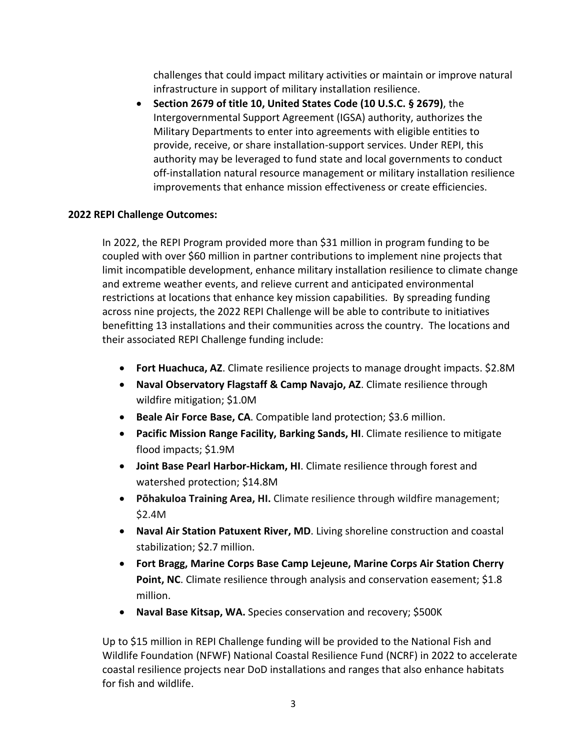challenges that could impact military activities or maintain or improve natural infrastructure in support of military installation resilience.

• **Section 2679 of title 10, United States Code (10 U.S.C. § 2679)**, the Intergovernmental Support Agreement (IGSA) authority, authorizes the Military Departments to enter into agreements with eligible entities to provide, receive, or share installation-support services. Under REPI, this authority may be leveraged to fund state and local governments to conduct off-installation natural resource management or military installation resilience improvements that enhance mission effectiveness or create efficiencies.

# **2022 REPI Challenge Outcomes:**

In 2022, the REPI Program provided more than \$31 million in program funding to be coupled with over \$60 million in partner contributions to implement nine projects that limit incompatible development, enhance military installation resilience to climate change and extreme weather events, and relieve current and anticipated environmental restrictions at locations that enhance key mission capabilities. By spreading funding across nine projects, the 2022 REPI Challenge will be able to contribute to initiatives benefitting 13 installations and their communities across the country. The locations and their associated REPI Challenge funding include:

- **Fort Huachuca, AZ**. Climate resilience projects to manage drought impacts. \$2.8M
- **Naval Observatory Flagstaff & Camp Navajo, AZ**. Climate resilience through wildfire mitigation; \$1.0M
- **Beale Air Force Base, CA**. Compatible land protection; \$3.6 million.
- **Pacific Mission Range Facility, Barking Sands, HI**. Climate resilience to mitigate flood impacts; \$1.9M
- **Joint Base Pearl Harbor-Hickam, HI**. Climate resilience through forest and watershed protection; \$14.8M
- **Pōhakuloa Training Area, HI.** Climate resilience through wildfire management; \$2.4M
- **Naval Air Station Patuxent River, MD**. Living shoreline construction and coastal stabilization; \$2.7 million.
- **Fort Bragg, Marine Corps Base Camp Lejeune, Marine Corps Air Station Cherry Point, NC.** Climate resilience through analysis and conservation easement; \$1.8 million.
- **Naval Base Kitsap, WA.** Species conservation and recovery; \$500K

Up to \$15 million in REPI Challenge funding will be provided to the National Fish and Wildlife Foundation (NFWF) National Coastal Resilience Fund (NCRF) in 2022 to accelerate coastal resilience projects near DoD installations and ranges that also enhance habitats for fish and wildlife.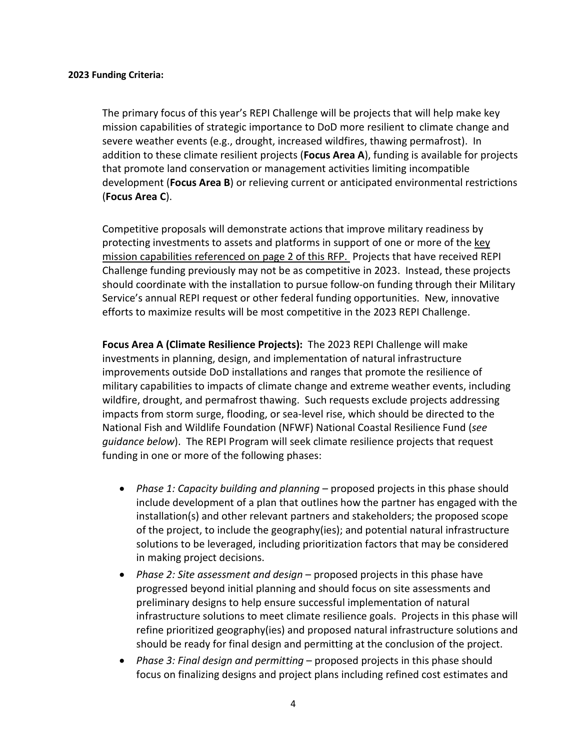#### **2023 Funding Criteria:**

The primary focus of this year's REPI Challenge will be projects that will help make key mission capabilities of strategic importance to DoD more resilient to climate change and severe weather events (e.g., drought, increased wildfires, thawing permafrost). In addition to these climate resilient projects (**Focus Area A**), funding is available for projects that promote land conservation or management activities limiting incompatible development (**Focus Area B**) or relieving current or anticipated environmental restrictions (**Focus Area C**).

Competitive proposals will demonstrate actions that improve military readiness by protecting investments to assets and platforms in support of one or more of the key mission capabilities referenced on page 2 of this RFP. Projects that have received REPI Challenge funding previously may not be as competitive in 2023. Instead, these projects should coordinate with the installation to pursue follow-on funding through their Military Service's annual REPI request or other federal funding opportunities. New, innovative efforts to maximize results will be most competitive in the 2023 REPI Challenge.

**Focus Area A (Climate Resilience Projects):** The 2023 REPI Challenge will make investments in planning, design, and implementation of natural infrastructure improvements outside DoD installations and ranges that promote the resilience of military capabilities to impacts of climate change and extreme weather events, including wildfire, drought, and permafrost thawing. Such requests exclude projects addressing impacts from storm surge, flooding, or sea-level rise, which should be directed to the National Fish and Wildlife Foundation (NFWF) National Coastal Resilience Fund (*see guidance below*). The REPI Program will seek climate resilience projects that request funding in one or more of the following phases:

- *Phase 1: Capacity building and planning* proposed projects in this phase should include development of a plan that outlines how the partner has engaged with the installation(s) and other relevant partners and stakeholders; the proposed scope of the project, to include the geography(ies); and potential natural infrastructure solutions to be leveraged, including prioritization factors that may be considered in making project decisions.
- *Phase 2: Site assessment and design* proposed projects in this phase have progressed beyond initial planning and should focus on site assessments and preliminary designs to help ensure successful implementation of natural infrastructure solutions to meet climate resilience goals. Projects in this phase will refine prioritized geography(ies) and proposed natural infrastructure solutions and should be ready for final design and permitting at the conclusion of the project.
- *Phase 3: Final design and permitting* proposed projects in this phase should focus on finalizing designs and project plans including refined cost estimates and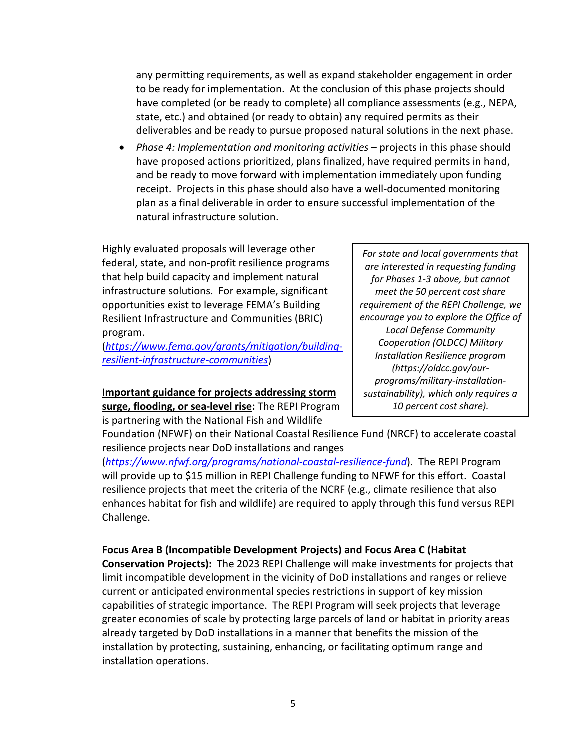any permitting requirements, as well as expand stakeholder engagement in order to be ready for implementation. At the conclusion of this phase projects should have completed (or be ready to complete) all compliance assessments (e.g., NEPA, state, etc.) and obtained (or ready to obtain) any required permits as their deliverables and be ready to pursue proposed natural solutions in the next phase.

• *Phase 4: Implementation and monitoring activities* – projects in this phase should have proposed actions prioritized, plans finalized, have required permits in hand, and be ready to move forward with implementation immediately upon funding receipt. Projects in this phase should also have a well-documented monitoring plan as a final deliverable in order to ensure successful implementation of the natural infrastructure solution.

Highly evaluated proposals will leverage other federal, state, and non-profit resilience programs that help build capacity and implement natural infrastructure solutions. For example, significant opportunities exist to leverage FEMA's Building Resilient Infrastructure and Communities (BRIC) program.

(*[https://www.fema.gov/grants/mitigation/building](https://www.fema.gov/grants/mitigation/building-resilient-infrastructure-communities)[resilient-infrastructure-communities](https://www.fema.gov/grants/mitigation/building-resilient-infrastructure-communities)*)

**Important guidance for projects addressing storm surge, flooding, or sea-level rise:** The REPI Program is partnering with the National Fish and Wildlife

*For state and local governments that are interested in requesting funding for Phases 1-3 above, but cannot meet the 50 percent cost share requirement of the REPI Challenge, we encourage you to explore the Office of Local Defense Community Cooperation (OLDCC) Military Installation Resilience program (https://oldcc.gov/ourprograms/military-installationsustainability), which only requires a 10 percent cost share).*

Foundation (NFWF) on their National Coastal Resilience Fund (NRCF) to accelerate coastal resilience projects near DoD installations and ranges

(*<https://www.nfwf.org/programs/national-coastal-resilience-fund>*). The REPI Program will provide up to \$15 million in REPI Challenge funding to NFWF for this effort. Coastal resilience projects that meet the criteria of the NCRF (e.g., climate resilience that also enhances habitat for fish and wildlife) are required to apply through this fund versus REPI Challenge.

# **Focus Area B (Incompatible Development Projects) and Focus Area C (Habitat**

**Conservation Projects):** The 2023 REPI Challenge will make investments for projects that limit incompatible development in the vicinity of DoD installations and ranges or relieve current or anticipated environmental species restrictions in support of key mission capabilities of strategic importance. The REPI Program will seek projects that leverage greater economies of scale by protecting large parcels of land or habitat in priority areas already targeted by DoD installations in a manner that benefits the mission of the installation by protecting, sustaining, enhancing, or facilitating optimum range and installation operations.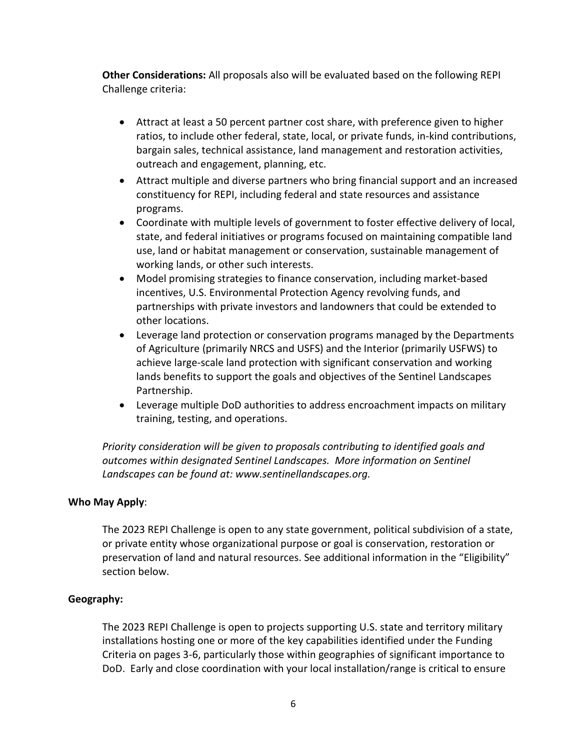**Other Considerations:** All proposals also will be evaluated based on the following REPI Challenge criteria:

- Attract at least a 50 percent partner cost share, with preference given to higher ratios, to include other federal, state, local, or private funds, in-kind contributions, bargain sales, technical assistance, land management and restoration activities, outreach and engagement, planning, etc.
- Attract multiple and diverse partners who bring financial support and an increased constituency for REPI, including federal and state resources and assistance programs.
- Coordinate with multiple levels of government to foster effective delivery of local, state, and federal initiatives or programs focused on maintaining compatible land use, land or habitat management or conservation, sustainable management of working lands, or other such interests.
- Model promising strategies to finance conservation, including market-based incentives, U.S. Environmental Protection Agency revolving funds, and partnerships with private investors and landowners that could be extended to other locations.
- Leverage land protection or conservation programs managed by the Departments of Agriculture (primarily NRCS and USFS) and the Interior (primarily USFWS) to achieve large-scale land protection with significant conservation and working lands benefits to support the goals and objectives of the Sentinel Landscapes Partnership.
- Leverage multiple DoD authorities to address encroachment impacts on military training, testing, and operations.

*Priority consideration will be given to proposals contributing to identified goals and outcomes within designated Sentinel Landscapes. More information on Sentinel Landscapes can be found at: www.sentinellandscapes.org.*

# **Who May Apply**:

The 2023 REPI Challenge is open to any state government, political subdivision of a state, or private entity whose organizational purpose or goal is conservation, restoration or preservation of land and natural resources. See additional information in the "Eligibility" section below.

#### **Geography:**

The 2023 REPI Challenge is open to projects supporting U.S. state and territory military installations hosting one or more of the key capabilities identified under the Funding Criteria on pages 3-6, particularly those within geographies of significant importance to DoD. Early and close coordination with your local installation/range is critical to ensure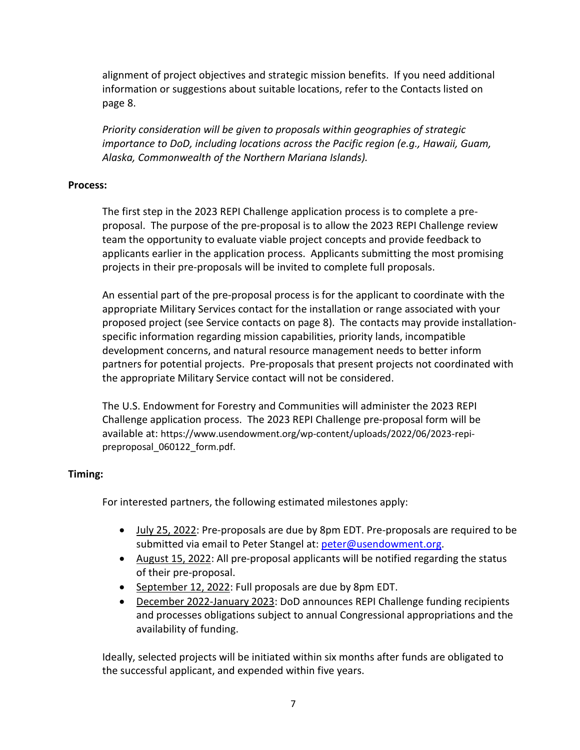alignment of project objectives and strategic mission benefits. If you need additional information or suggestions about suitable locations, refer to the Contacts listed on page 8.

*Priority consideration will be given to proposals within geographies of strategic importance to DoD, including locations across the Pacific region (e.g., Hawaii, Guam, Alaska, Commonwealth of the Northern Mariana Islands).* 

#### **Process:**

The first step in the 2023 REPI Challenge application process is to complete a preproposal. The purpose of the pre-proposal is to allow the 2023 REPI Challenge review team the opportunity to evaluate viable project concepts and provide feedback to applicants earlier in the application process. Applicants submitting the most promising projects in their pre-proposals will be invited to complete full proposals.

An essential part of the pre-proposal process is for the applicant to coordinate with the appropriate Military Services contact for the installation or range associated with your proposed project (see Service contacts on page 8). The contacts may provide installationspecific information regarding mission capabilities, priority lands, incompatible development concerns, and natural resource management needs to better inform partners for potential projects. Pre-proposals that present projects not coordinated with the appropriate Military Service contact will not be considered.

The U.S. Endowment for Forestry and Communities will administer the 2023 REPI Challenge application process. The 2023 REPI Challenge pre-proposal form will be available at: https://www.usendowment.org/wp-content/uploads/2022/06/2023-repipreproposal\_060122\_form.pdf.

# **Timing:**

For interested partners, the following estimated milestones apply:

- July 25, 2022: Pre-proposals are due by 8pm EDT. Pre-proposals are required to be submitted via email to Peter Stangel at: [peter@usendowment.org.](mailto:peter@usendowment.org)
- August 15, 2022: All pre-proposal applicants will be notified regarding the status of their pre-proposal.
- September 12, 2022: Full proposals are due by 8pm EDT.
- December 2022-January 2023: DoD announces REPI Challenge funding recipients and processes obligations subject to annual Congressional appropriations and the availability of funding.

Ideally, selected projects will be initiated within six months after funds are obligated to the successful applicant, and expended within five years.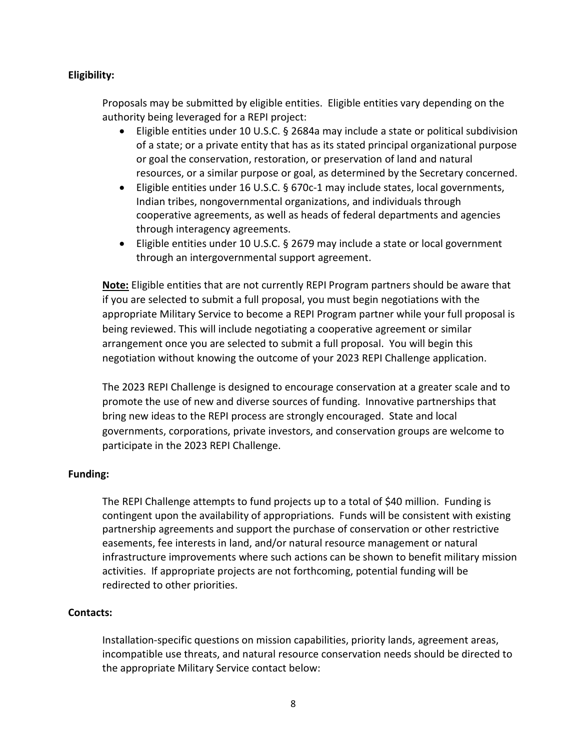# **Eligibility:**

Proposals may be submitted by eligible entities. Eligible entities vary depending on the authority being leveraged for a REPI project:

- Eligible entities under 10 U.S.C. § 2684a may include a state or political subdivision of a state; or a private entity that has as its stated principal organizational purpose or goal the conservation, restoration, or preservation of land and natural resources, or a similar purpose or goal, as determined by the Secretary concerned.
- Eligible entities under 16 U.S.C. § 670c-1 may include states, local governments, Indian tribes, nongovernmental organizations, and individuals through cooperative agreements, as well as heads of federal departments and agencies through interagency agreements.
- Eligible entities under 10 U.S.C. § 2679 may include a state or local government through an intergovernmental support agreement.

**Note:** Eligible entities that are not currently REPI Program partners should be aware that if you are selected to submit a full proposal, you must begin negotiations with the appropriate Military Service to become a REPI Program partner while your full proposal is being reviewed. This will include negotiating a cooperative agreement or similar arrangement once you are selected to submit a full proposal. You will begin this negotiation without knowing the outcome of your 2023 REPI Challenge application.

The 2023 REPI Challenge is designed to encourage conservation at a greater scale and to promote the use of new and diverse sources of funding. Innovative partnerships that bring new ideas to the REPI process are strongly encouraged. State and local governments, corporations, private investors, and conservation groups are welcome to participate in the 2023 REPI Challenge.

#### **Funding:**

The REPI Challenge attempts to fund projects up to a total of \$40 million. Funding is contingent upon the availability of appropriations. Funds will be consistent with existing partnership agreements and support the purchase of conservation or other restrictive easements, fee interests in land, and/or natural resource management or natural infrastructure improvements where such actions can be shown to benefit military mission activities. If appropriate projects are not forthcoming, potential funding will be redirected to other priorities.

#### **Contacts:**

Installation-specific questions on mission capabilities, priority lands, agreement areas, incompatible use threats, and natural resource conservation needs should be directed to the appropriate Military Service contact below: